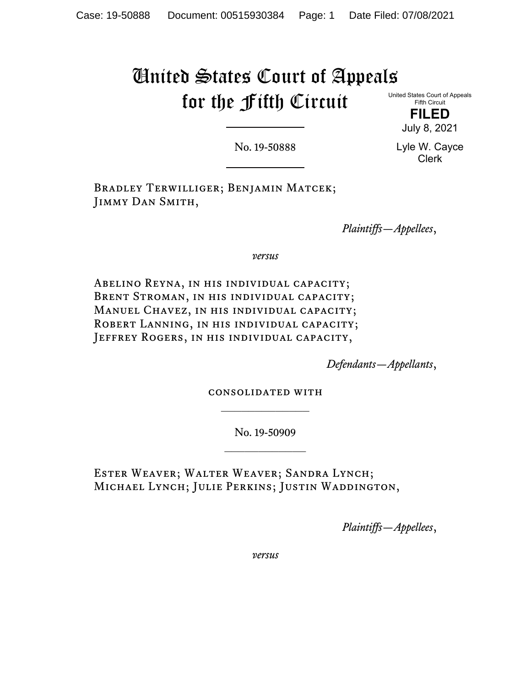# United States Court of Appeals for the Fifth Circuit

United States Court of Appeals Fifth Circuit

> **FILED** July 8, 2021

No. 19-50888

Lyle W. Cayce Clerk

Bradley Terwilliger; Benjamin Matcek; Jimmy Dan Smith,

*Plaintiffs—Appellees*,

*versus*

Abelino Reyna, in his individual capacity; BRENT STROMAN, IN HIS INDIVIDUAL CAPACITY; MANUEL CHAVEZ, IN HIS INDIVIDUAL CAPACITY; ROBERT LANNING, IN HIS INDIVIDUAL CAPACITY; JEFFREY ROGERS, IN HIS INDIVIDUAL CAPACITY,

*Defendants—Appellants*,

consolidated with  $\frac{1}{2}$  ,  $\frac{1}{2}$  ,  $\frac{1}{2}$  ,  $\frac{1}{2}$  ,  $\frac{1}{2}$  ,  $\frac{1}{2}$  ,  $\frac{1}{2}$ 

> No. 19-50909  $\frac{1}{2}$

Ester Weaver; Walter Weaver; Sandra Lynch; Michael Lynch; Julie Perkins; Justin Waddington,

*Plaintiffs—Appellees*,

*versus*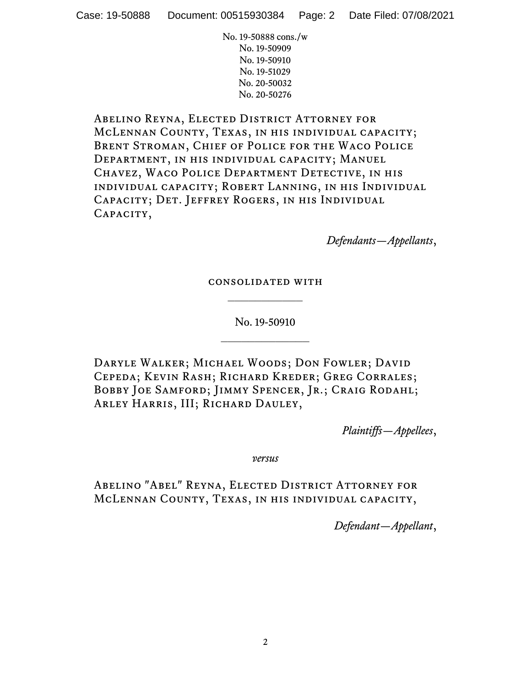Abelino Reyna, Elected District Attorney for McLennan County, Texas, in his individual capacity; Brent Stroman, Chief of Police for the Waco Police Department, in his individual capacity; Manuel Chavez, Waco Police Department Detective, in his individual capacity; Robert Lanning, in his Individual Capacity; Det. Jeffrey Rogers, in his Individual CAPACITY,

*Defendants—Appellants*,

## consolidated with  $\frac{1}{2}$

No. 19-50910  $\frac{1}{2}$ 

Daryle Walker; Michael Woods; Don Fowler; David Cepeda; Kevin Rash; Richard Kreder; Greg Corrales; BOBBY JOE SAMFORD; JIMMY SPENCER, JR.; CRAIG RODAHL; ARLEY HARRIS, III; RICHARD DAULEY,

*Plaintiffs—Appellees*,

*versus*

Abelino "Abel" Reyna, Elected District Attorney for McLennan County, Texas, in his individual capacity,

*Defendant—Appellant*,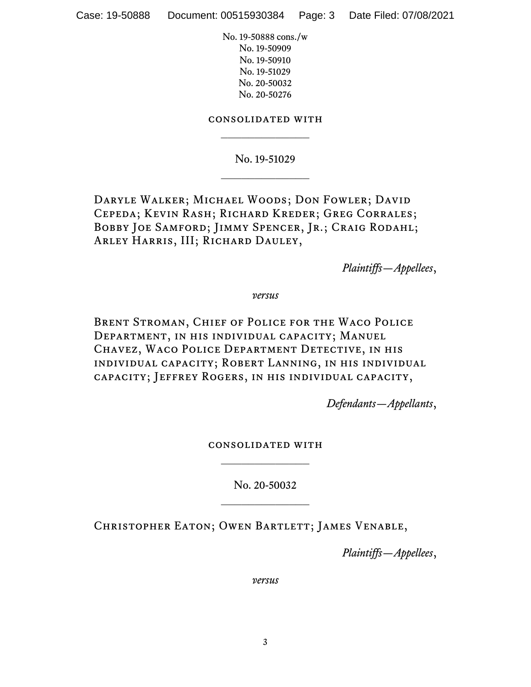# consolidated with  $\frac{1}{2}$

No. 19-51029  $\frac{1}{2}$ 

Daryle Walker; Michael Woods; Don Fowler; David Cepeda; Kevin Rash; Richard Kreder; Greg Corrales; BOBBY JOE SAMFORD; JIMMY SPENCER, JR.; CRAIG RODAHL; Arley Harris, III; Richard Dauley,

*Plaintiffs—Appellees*,

*versus*

Brent Stroman, Chief of Police for the Waco Police Department, in his individual capacity; Manuel Chavez, Waco Police Department Detective, in his individual capacity; Robert Lanning, in his individual capacity; Jeffrey Rogers, in his individual capacity,

*Defendants—Appellants*,

consolidated with

No. 20-50032  $\frac{1}{2}$ 

Christopher Eaton; Owen Bartlett; James Venable,

*Plaintiffs—Appellees*,

*versus*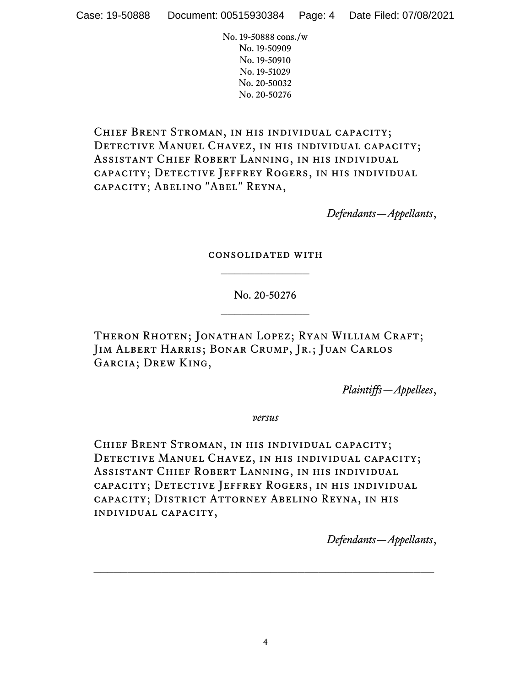CHIEF BRENT STROMAN, IN HIS INDIVIDUAL CAPACITY; DETECTIVE MANUEL CHAVEZ, IN HIS INDIVIDUAL CAPACITY; Assistant Chief Robert Lanning, in his individual capacity; Detective Jeffrey Rogers, in his individual capacity; Abelino "Abel" Reyna,

*Defendants—Appellants*,

consolidated with  $\frac{1}{2}$ 

> No. 20-50276  $\frac{1}{2}$  ,  $\frac{1}{2}$  ,  $\frac{1}{2}$  ,  $\frac{1}{2}$  ,  $\frac{1}{2}$  ,  $\frac{1}{2}$  ,  $\frac{1}{2}$

Theron Rhoten; Jonathan Lopez; Ryan William Craft; Jim Albert Harris; Bonar Crump, Jr.; Juan Carlos Garcia; Drew King,

*Plaintiffs—Appellees*,

*versus*

CHIEF BRENT STROMAN, IN HIS INDIVIDUAL CAPACITY; DETECTIVE MANUEL CHAVEZ, IN HIS INDIVIDUAL CAPACITY; Assistant Chief Robert Lanning, in his individual capacity; Detective Jeffrey Rogers, in his individual capacity; District Attorney Abelino Reyna, in his individual capacity,

*Defendants—Appellants*,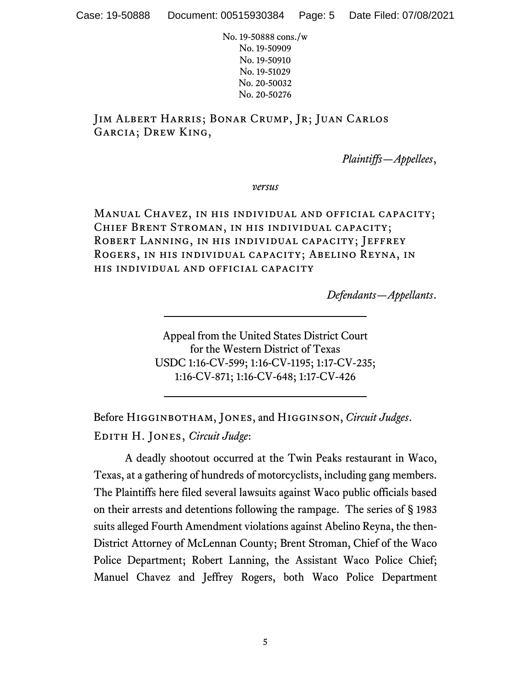Jim Albert Harris; Bonar Crump, Jr; Juan Carlos Garcia; Drew King,

*Plaintiffs—Appellees*,

*versus*

Manual Chavez, in his individual and official capacity; Chief Brent Stroman, in his individual capacity; Robert Lanning, in his individual capacity; Jeffrey Rogers, in his individual capacity; Abelino Reyna, in his individual and official capacity

*Defendants—Appellants*.

Appeal from the United States District Court for the Western District of Texas USDC 1:16-CV-599; 1:16-CV-1195; 1:17-CV-235; 1:16-CV-871; 1:16-CV-648; 1:17-CV-426

Before Higginbotham, Jones, and Higginson, *Circuit Judges*. Edith H. Jones, *Circuit Judge*:

A deadly shootout occurred at the Twin Peaks restaurant in Waco, Texas, at a gathering of hundreds of motorcyclists, including gang members. The Plaintiffs here filed several lawsuits against Waco public officials based on their arrests and detentions following the rampage. The series of § 1983 suits alleged Fourth Amendment violations against Abelino Reyna, the then-District Attorney of McLennan County; Brent Stroman, Chief of the Waco Police Department; Robert Lanning, the Assistant Waco Police Chief; Manuel Chavez and Jeffrey Rogers, both Waco Police Department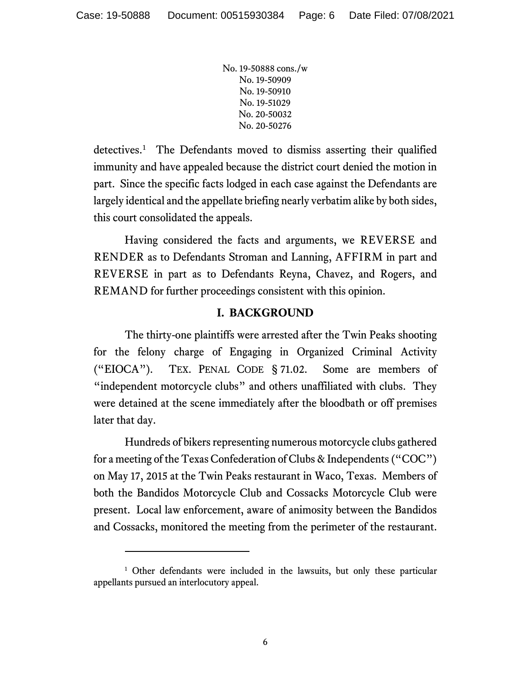detectives. [1](#page-5-0) The Defendants moved to dismiss asserting their qualified immunity and have appealed because the district court denied the motion in part. Since the specific facts lodged in each case against the Defendants are largely identical and the appellate briefing nearly verbatim alike by both sides, this court consolidated the appeals.

Having considered the facts and arguments, we REVERSE and RENDER as to Defendants Stroman and Lanning, AFFIRM in part and REVERSE in part as to Defendants Reyna, Chavez, and Rogers, and REMAND for further proceedings consistent with this opinion.

# **I. BACKGROUND**

The thirty-one plaintiffs were arrested after the Twin Peaks shooting for the felony charge of Engaging in Organized Criminal Activity ("EIOCA"). TEX. PENAL CODE § 71.02. Some are members of "independent motorcycle clubs" and others unaffiliated with clubs. They were detained at the scene immediately after the bloodbath or off premises later that day.

Hundreds of bikers representing numerous motorcycle clubs gathered for a meeting of the Texas Confederation of Clubs & Independents ("COC") on May 17, 2015 at the Twin Peaks restaurant in Waco, Texas. Members of both the Bandidos Motorcycle Club and Cossacks Motorcycle Club were present. Local law enforcement, aware of animosity between the Bandidos and Cossacks, monitored the meeting from the perimeter of the restaurant.

<span id="page-5-0"></span><sup>&</sup>lt;sup>1</sup> Other defendants were included in the lawsuits, but only these particular appellants pursued an interlocutory appeal.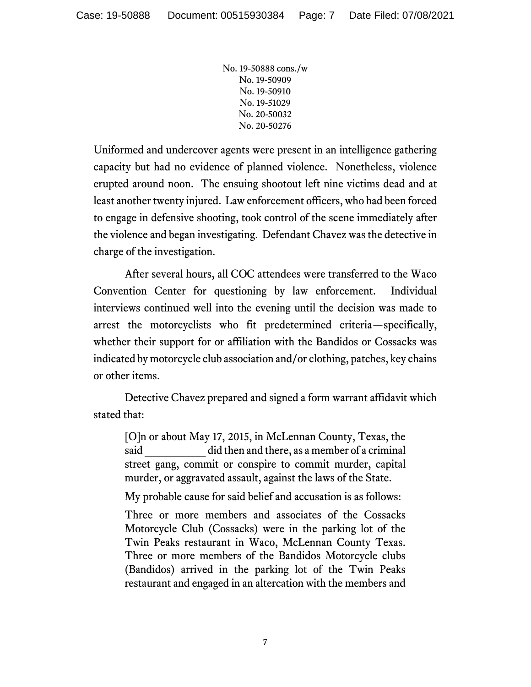Uniformed and undercover agents were present in an intelligence gathering capacity but had no evidence of planned violence. Nonetheless, violence erupted around noon. The ensuing shootout left nine victims dead and at least another twenty injured. Law enforcement officers, who had been forced to engage in defensive shooting, took control of the scene immediately after the violence and began investigating. Defendant Chavez was the detective in charge of the investigation.

After several hours, all COC attendees were transferred to the Waco Convention Center for questioning by law enforcement. Individual interviews continued well into the evening until the decision was made to arrest the motorcyclists who fit predetermined criteria—specifically, whether their support for or affiliation with the Bandidos or Cossacks was indicated by motorcycle club association and/or clothing, patches, key chains or other items.

Detective Chavez prepared and signed a form warrant affidavit which stated that:

[O]n or about May 17, 2015, in McLennan County, Texas, the said did then and there, as a member of a criminal street gang, commit or conspire to commit murder, capital murder, or aggravated assault, against the laws of the State.

My probable cause for said belief and accusation is as follows:

Three or more members and associates of the Cossacks Motorcycle Club (Cossacks) were in the parking lot of the Twin Peaks restaurant in Waco, McLennan County Texas. Three or more members of the Bandidos Motorcycle clubs (Bandidos) arrived in the parking lot of the Twin Peaks restaurant and engaged in an altercation with the members and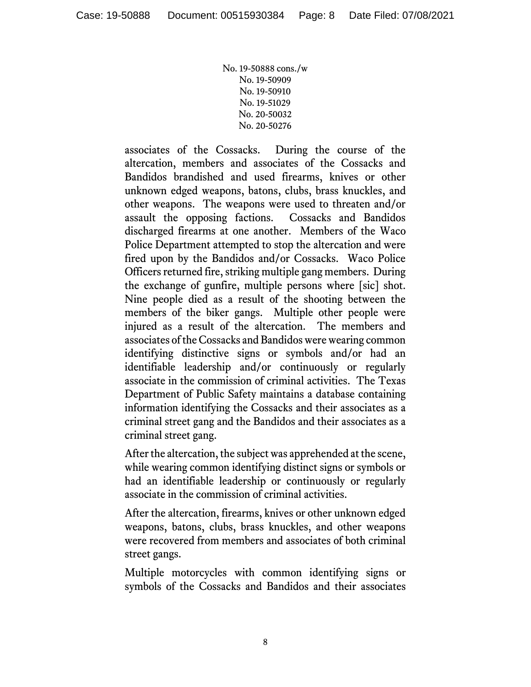associates of the Cossacks. During the course of the altercation, members and associates of the Cossacks and Bandidos brandished and used firearms, knives or other unknown edged weapons, batons, clubs, brass knuckles, and other weapons. The weapons were used to threaten and/or assault the opposing factions. Cossacks and Bandidos discharged firearms at one another. Members of the Waco Police Department attempted to stop the altercation and were fired upon by the Bandidos and/or Cossacks. Waco Police Officers returned fire, striking multiple gang members. During the exchange of gunfire, multiple persons where [sic] shot. Nine people died as a result of the shooting between the members of the biker gangs. Multiple other people were injured as a result of the altercation. The members and associates of the Cossacks and Bandidos were wearing common identifying distinctive signs or symbols and/or had an identifiable leadership and/or continuously or regularly associate in the commission of criminal activities. The Texas Department of Public Safety maintains a database containing information identifying the Cossacks and their associates as a criminal street gang and the Bandidos and their associates as a criminal street gang.

After the altercation, the subject was apprehended at the scene, while wearing common identifying distinct signs or symbols or had an identifiable leadership or continuously or regularly associate in the commission of criminal activities.

After the altercation, firearms, knives or other unknown edged weapons, batons, clubs, brass knuckles, and other weapons were recovered from members and associates of both criminal street gangs.

Multiple motorcycles with common identifying signs or symbols of the Cossacks and Bandidos and their associates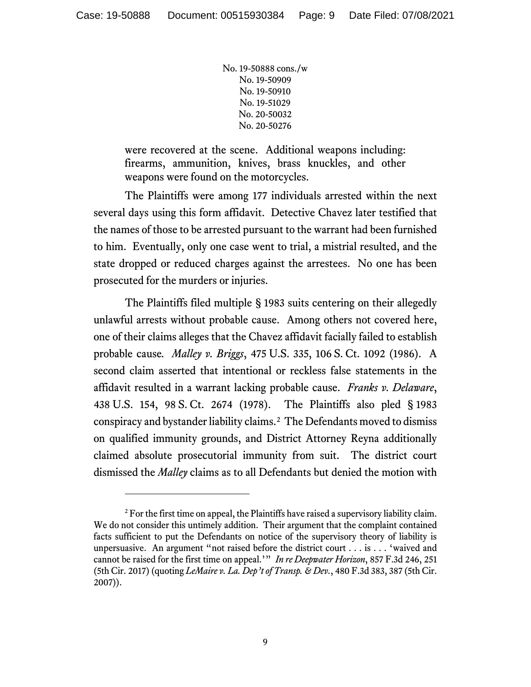were recovered at the scene. Additional weapons including: firearms, ammunition, knives, brass knuckles, and other weapons were found on the motorcycles.

The Plaintiffs were among 177 individuals arrested within the next several days using this form affidavit. Detective Chavez later testified that the names of those to be arrested pursuant to the warrant had been furnished to him. Eventually, only one case went to trial, a mistrial resulted, and the state dropped or reduced charges against the arrestees. No one has been prosecuted for the murders or injuries.

The Plaintiffs filed multiple § 1983 suits centering on their allegedly unlawful arrests without probable cause. Among others not covered here, one of their claims alleges that the Chavez affidavit facially failed to establish probable cause*. Malley v. Briggs*, 475 U.S. 335, 106 S. Ct. 1092 (1986). A second claim asserted that intentional or reckless false statements in the affidavit resulted in a warrant lacking probable cause. *Franks v. Delaware*, 438 U.S. 154, 98 S. Ct. 2674 (1978). The Plaintiffs also pled § 1983 conspiracy and bystander liability claims. [2](#page-8-0) The Defendants moved to dismiss on qualified immunity grounds, and District Attorney Reyna additionally claimed absolute prosecutorial immunity from suit. The district court dismissed the *Malley* claims as to all Defendants but denied the motion with

<span id="page-8-0"></span><sup>&</sup>lt;sup>2</sup> For the first time on appeal, the Plaintiffs have raised a supervisory liability claim. We do not consider this untimely addition. Their argument that the complaint contained facts sufficient to put the Defendants on notice of the supervisory theory of liability is unpersuasive. An argument "not raised before the district court . . . is . . . 'waived and cannot be raised for the first time on appeal.'" *In re Deepwater Horizon*, 857 F.3d 246, 251 (5th Cir. 2017) (quoting *LeMaire v. La. Dep't of Transp. & Dev.*, 480 F.3d 383, 387 (5th Cir. 2007)).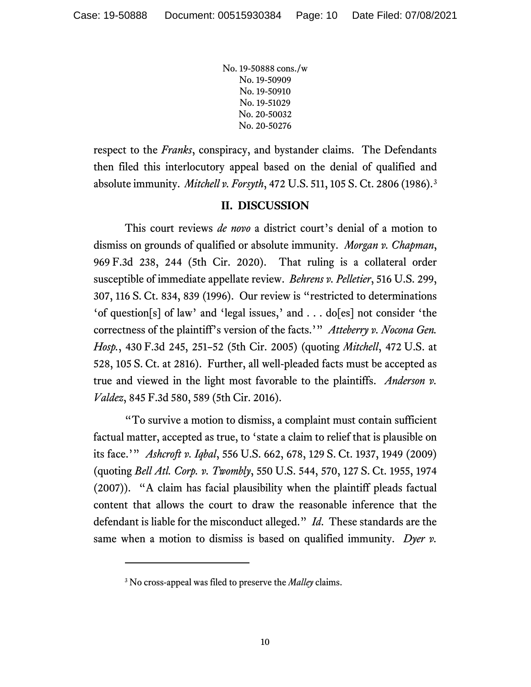respect to the *Franks*, conspiracy, and bystander claims. The Defendants then filed this interlocutory appeal based on the denial of qualified and absolute immunity. *Mitchell v. Forsyth*, 472 U.S. 511, 105 S. Ct. 2806 (1986).[3](#page-9-0)

#### **II. DISCUSSION**

This court reviews *de novo* a district court's denial of a motion to dismiss on grounds of qualified or absolute immunity. *Morgan v. Chapman*, 969 F.3d 238, 244 (5th Cir. 2020). That ruling is a collateral order susceptible of immediate appellate review. *Behrens v. Pelletier*, 516 U.S. 299, 307, 116 S. Ct. 834, 839 (1996). Our review is "restricted to determinations 'of question[s] of law' and 'legal issues,' and . . . do[es] not consider 'the correctness of the plaintiff's version of the facts.'" *Atteberry v. Nocona Gen. Hosp.*, 430 F.3d 245, 251–52 (5th Cir. 2005) (quoting *Mitchell*, 472 U.S. at 528, 105 S. Ct. at 2816). Further, all well-pleaded facts must be accepted as true and viewed in the light most favorable to the plaintiffs. *Anderson v. Valdez*, 845 F.3d 580, 589 (5th Cir. 2016).

"To survive a motion to dismiss, a complaint must contain sufficient factual matter, accepted as true, to 'state a claim to relief that is plausible on its face.'" *Ashcroft v. Iqbal*, 556 U.S. 662, 678, 129 S. Ct. 1937, 1949 (2009) (quoting *Bell Atl. Corp. v. Twombly*, 550 U.S. 544, 570, 127 S. Ct. 1955, 1974 (2007)). "A claim has facial plausibility when the plaintiff pleads factual content that allows the court to draw the reasonable inference that the defendant is liable for the misconduct alleged." *Id*. These standards are the same when a motion to dismiss is based on qualified immunity. *Dyer v.* 

<span id="page-9-0"></span><sup>3</sup> No cross-appeal was filed to preserve the *Malley* claims.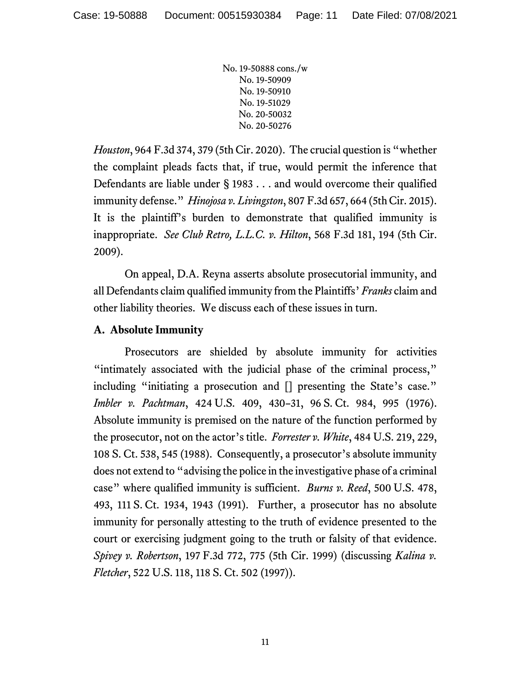*Houston*, 964 F.3d 374, 379 (5th Cir. 2020). The crucial question is "whether the complaint pleads facts that, if true, would permit the inference that Defendants are liable under § 1983 . . . and would overcome their qualified immunity defense." *Hinojosa v. Livingston*, 807 F.3d 657, 664 (5th Cir. 2015). It is the plaintiff's burden to demonstrate that qualified immunity is inappropriate. *See Club Retro, L.L.C. v. Hilton*, 568 F.3d 181, 194 (5th Cir. 2009).

On appeal, D.A. Reyna asserts absolute prosecutorial immunity, and all Defendants claim qualified immunity from the Plaintiffs' *Franks* claim and other liability theories. We discuss each of these issues in turn.

# **A. Absolute Immunity**

Prosecutors are shielded by absolute immunity for activities "intimately associated with the judicial phase of the criminal process," including "initiating a prosecution and [] presenting the State's case." *Imbler v. Pachtman*, 424 U.S. 409, 430–31, 96 S. Ct. 984, 995 (1976). Absolute immunity is premised on the nature of the function performed by the prosecutor, not on the actor's title. *Forrester v. White*, 484 U.S. 219, 229, 108 S. Ct. 538, 545 (1988). Consequently, a prosecutor's absolute immunity does not extend to "advising the police in the investigative phase of a criminal case" where qualified immunity is sufficient. *Burns v. Reed*, 500 U.S. 478, 493, 111 S. Ct. 1934, 1943 (1991). Further, a prosecutor has no absolute immunity for personally attesting to the truth of evidence presented to the court or exercising judgment going to the truth or falsity of that evidence. *Spivey v. Robertson*, 197 F.3d 772, 775 (5th Cir. 1999) (discussing *Kalina v. Fletcher*, 522 U.S. 118, 118 S. Ct. 502 (1997)).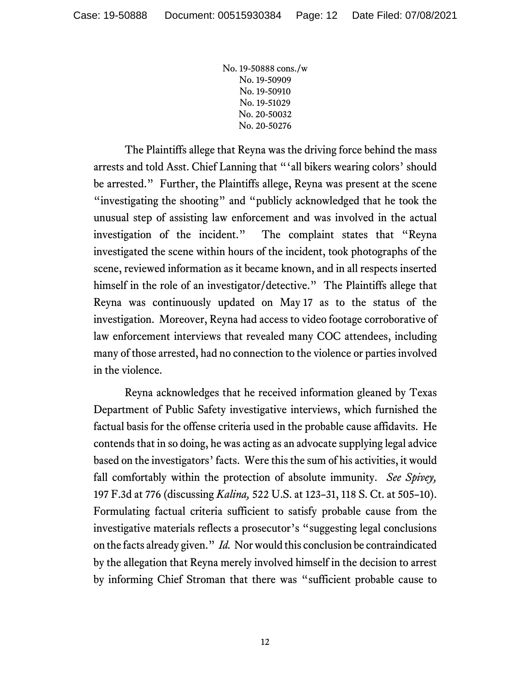The Plaintiffs allege that Reyna was the driving force behind the mass arrests and told Asst. Chief Lanning that "'all bikers wearing colors' should be arrested." Further, the Plaintiffs allege, Reyna was present at the scene "investigating the shooting" and "publicly acknowledged that he took the unusual step of assisting law enforcement and was involved in the actual investigation of the incident." The complaint states that "Reyna investigated the scene within hours of the incident, took photographs of the scene, reviewed information as it became known, and in all respects inserted himself in the role of an investigator/detective." The Plaintiffs allege that Reyna was continuously updated on May 17 as to the status of the investigation. Moreover, Reyna had access to video footage corroborative of law enforcement interviews that revealed many COC attendees, including many of those arrested, had no connection to the violence or parties involved in the violence.

Reyna acknowledges that he received information gleaned by Texas Department of Public Safety investigative interviews, which furnished the factual basis for the offense criteria used in the probable cause affidavits. He contends that in so doing, he was acting as an advocate supplying legal advice based on the investigators' facts. Were this the sum of his activities, it would fall comfortably within the protection of absolute immunity. *See Spivey,*  197 F.3d at 776 (discussing *Kalina,* 522 U.S. at 123–31, 118 S. Ct. at 505–10). Formulating factual criteria sufficient to satisfy probable cause from the investigative materials reflects a prosecutor's "suggesting legal conclusions on the facts already given." *Id.* Nor would this conclusion be contraindicated by the allegation that Reyna merely involved himself in the decision to arrest by informing Chief Stroman that there was "sufficient probable cause to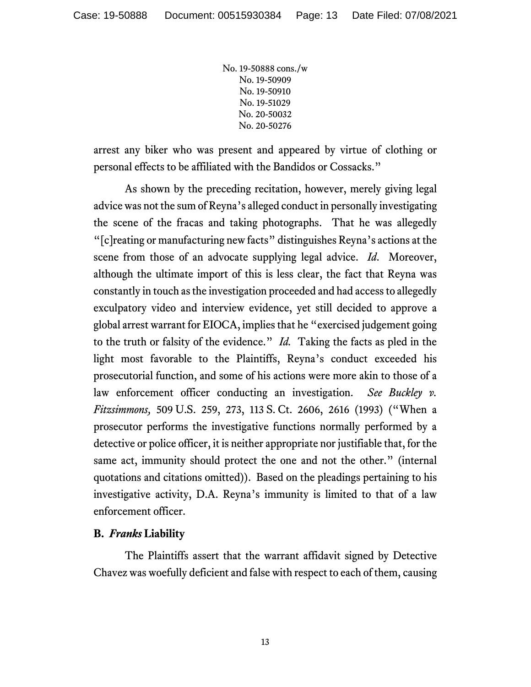arrest any biker who was present and appeared by virtue of clothing or personal effects to be affiliated with the Bandidos or Cossacks."

As shown by the preceding recitation, however, merely giving legal advice was not the sum of Reyna's alleged conduct in personally investigating the scene of the fracas and taking photographs. That he was allegedly "[c]reating or manufacturing new facts" distinguishes Reyna's actions at the scene from those of an advocate supplying legal advice. *Id*. Moreover, although the ultimate import of this is less clear, the fact that Reyna was constantly in touch as the investigation proceeded and had access to allegedly exculpatory video and interview evidence, yet still decided to approve a global arrest warrant for EIOCA, implies that he "exercised judgement going to the truth or falsity of the evidence." *Id.* Taking the facts as pled in the light most favorable to the Plaintiffs, Reyna's conduct exceeded his prosecutorial function, and some of his actions were more akin to those of a law enforcement officer conducting an investigation. *See Buckley v. Fitzsimmons,* 509 U.S. 259, 273, 113 S. Ct. 2606, 2616 (1993) ("When a prosecutor performs the investigative functions normally performed by a detective or police officer, it is neither appropriate nor justifiable that, for the same act, immunity should protect the one and not the other." (internal quotations and citations omitted)). Based on the pleadings pertaining to his investigative activity, D.A. Reyna's immunity is limited to that of a law enforcement officer.

#### **B.** *Franks* **Liability**

The Plaintiffs assert that the warrant affidavit signed by Detective Chavez was woefully deficient and false with respect to each of them, causing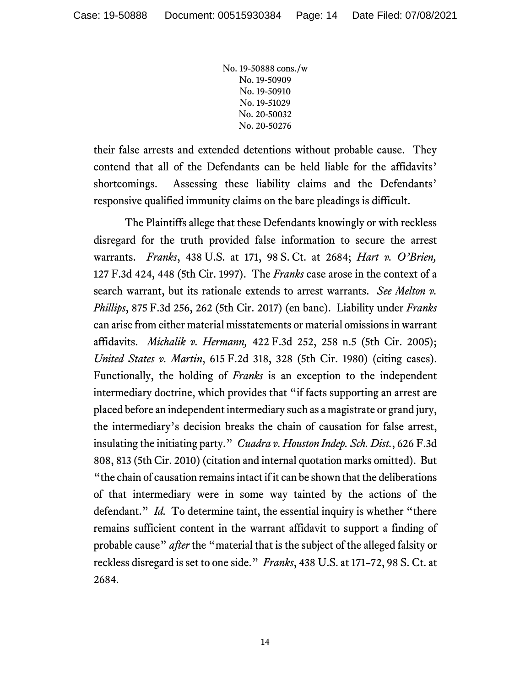their false arrests and extended detentions without probable cause. They contend that all of the Defendants can be held liable for the affidavits' shortcomings. Assessing these liability claims and the Defendants' responsive qualified immunity claims on the bare pleadings is difficult.

The Plaintiffs allege that these Defendants knowingly or with reckless disregard for the truth provided false information to secure the arrest warrants. *Franks*, 438 U.S. at 171, 98 S. Ct. at 2684; *Hart v. O'Brien,*  127 F.3d 424, 448 (5th Cir. 1997). The *Franks* case arose in the context of a search warrant, but its rationale extends to arrest warrants. *See Melton v. Phillips*, 875 F.3d 256, 262 (5th Cir. 2017) (en banc). Liability under *Franks* can arise from either material misstatements or material omissions in warrant affidavits. *Michalik v. Hermann,* 422 F.3d 252, 258 n.5 (5th Cir. 2005); *United States v. Martin*, 615 F.2d 318, 328 (5th Cir. 1980) (citing cases). Functionally, the holding of *Franks* is an exception to the independent intermediary doctrine, which provides that "if facts supporting an arrest are placed before an independent intermediary such as a magistrate or grand jury, the intermediary's decision breaks the chain of causation for false arrest, insulating the initiating party." *Cuadra v. Houston Indep. Sch. Dist.*, 626 F.3d 808, 813 (5th Cir. 2010) (citation and internal quotation marks omitted). But "the chain of causation remains intact if it can be shown that the deliberations of that intermediary were in some way tainted by the actions of the defendant." *Id.* To determine taint, the essential inquiry is whether "there remains sufficient content in the warrant affidavit to support a finding of probable cause" *after* the "material that is the subject of the alleged falsity or reckless disregard is set to one side." *Franks*, 438 U.S. at 171–72, 98 S. Ct. at 2684.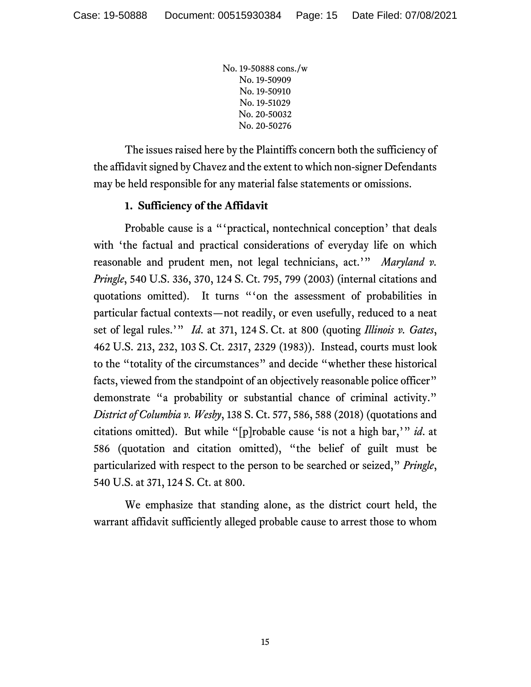The issues raised here by the Plaintiffs concern both the sufficiency of the affidavit signed by Chavez and the extent to which non-signer Defendants may be held responsible for any material false statements or omissions.

# **1. Sufficiency of the Affidavit**

Probable cause is a "'practical, nontechnical conception' that deals with 'the factual and practical considerations of everyday life on which reasonable and prudent men, not legal technicians, act.'" *Maryland v. Pringle*, 540 U.S. 336, 370, 124 S. Ct. 795, 799 (2003) (internal citations and quotations omitted). It turns "'on the assessment of probabilities in particular factual contexts—not readily, or even usefully, reduced to a neat set of legal rules.'" *Id*. at 371, 124 S. Ct. at 800 (quoting *Illinois v. Gates*, 462 U.S. 213, 232, 103 S. Ct. 2317, 2329 (1983)). Instead, courts must look to the "totality of the circumstances" and decide "whether these historical facts, viewed from the standpoint of an objectively reasonable police officer" demonstrate "a probability or substantial chance of criminal activity." *District of Columbia v. Wesby*, 138 S. Ct. 577, 586, 588 (2018) (quotations and citations omitted). But while "[p]robable cause 'is not a high bar,'" *id*. at 586 (quotation and citation omitted), "the belief of guilt must be particularized with respect to the person to be searched or seized," *Pringle*, 540 U.S. at 371, 124 S. Ct. at 800.

We emphasize that standing alone, as the district court held, the warrant affidavit sufficiently alleged probable cause to arrest those to whom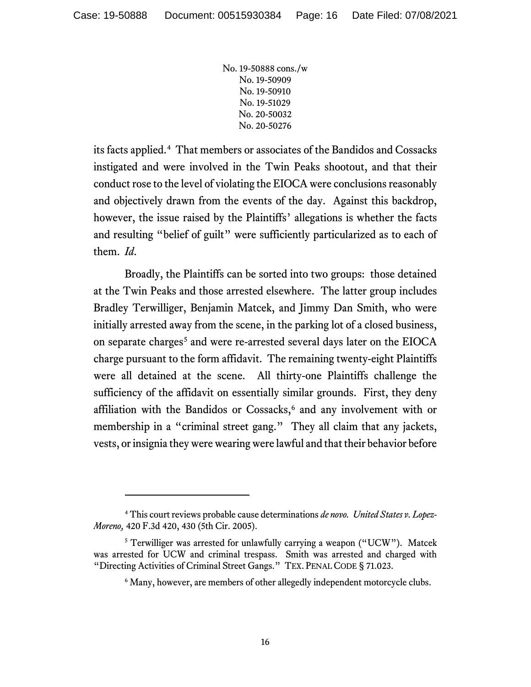its facts applied.[4](#page-15-0) That members or associates of the Bandidos and Cossacks instigated and were involved in the Twin Peaks shootout, and that their conduct rose to the level of violating the EIOCA were conclusions reasonably and objectively drawn from the events of the day. Against this backdrop, however, the issue raised by the Plaintiffs' allegations is whether the facts and resulting "belief of guilt" were sufficiently particularized as to each of them. *Id*.

Broadly, the Plaintiffs can be sorted into two groups: those detained at the Twin Peaks and those arrested elsewhere. The latter group includes Bradley Terwilliger, Benjamin Matcek, and Jimmy Dan Smith, who were initially arrested away from the scene, in the parking lot of a closed business, on separate charges<sup>[5](#page-15-1)</sup> and were re-arrested several days later on the EIOCA charge pursuant to the form affidavit. The remaining twenty-eight Plaintiffs were all detained at the scene. All thirty-one Plaintiffs challenge the sufficiency of the affidavit on essentially similar grounds. First, they deny affiliation with the Bandidos or Cossacks,<sup>[6](#page-15-2)</sup> and any involvement with or membership in a "criminal street gang." They all claim that any jackets, vests, or insignia they were wearing were lawful and that their behavior before

<span id="page-15-0"></span><sup>4</sup> This court reviews probable cause determinations *de novo. United States v. Lopez-Moreno,* 420 F.3d 420, 430 (5th Cir. 2005).

<span id="page-15-2"></span><span id="page-15-1"></span><sup>&</sup>lt;sup>5</sup> Terwilliger was arrested for unlawfully carrying a weapon ("UCW"). Matcek was arrested for UCW and criminal trespass. Smith was arrested and charged with "Directing Activities of Criminal Street Gangs." TEX. PENAL CODE § 71.023.

<sup>&</sup>lt;sup>6</sup> Many, however, are members of other allegedly independent motorcycle clubs.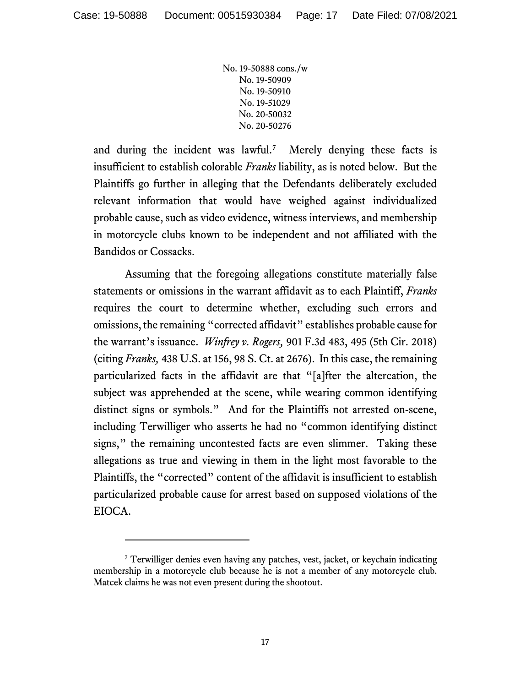and during the incident was lawful.<sup>[7](#page-16-0)</sup> Merely denying these facts is insufficient to establish colorable *Franks* liability, as is noted below. But the Plaintiffs go further in alleging that the Defendants deliberately excluded relevant information that would have weighed against individualized probable cause, such as video evidence, witness interviews, and membership in motorcycle clubs known to be independent and not affiliated with the Bandidos or Cossacks.

Assuming that the foregoing allegations constitute materially false statements or omissions in the warrant affidavit as to each Plaintiff, *Franks*  requires the court to determine whether, excluding such errors and omissions, the remaining "corrected affidavit" establishes probable cause for the warrant's issuance. *Winfrey v. Rogers,* 901 F.3d 483, 495 (5th Cir. 2018) (citing *Franks,* 438 U.S. at 156, 98 S. Ct. at 2676). In this case, the remaining particularized facts in the affidavit are that "[a]fter the altercation, the subject was apprehended at the scene, while wearing common identifying distinct signs or symbols." And for the Plaintiffs not arrested on-scene, including Terwilliger who asserts he had no "common identifying distinct signs," the remaining uncontested facts are even slimmer. Taking these allegations as true and viewing in them in the light most favorable to the Plaintiffs, the "corrected" content of the affidavit is insufficient to establish particularized probable cause for arrest based on supposed violations of the EIOCA.

<span id="page-16-0"></span><sup>&</sup>lt;sup>7</sup> Terwilliger denies even having any patches, vest, jacket, or keychain indicating membership in a motorcycle club because he is not a member of any motorcycle club. Matcek claims he was not even present during the shootout.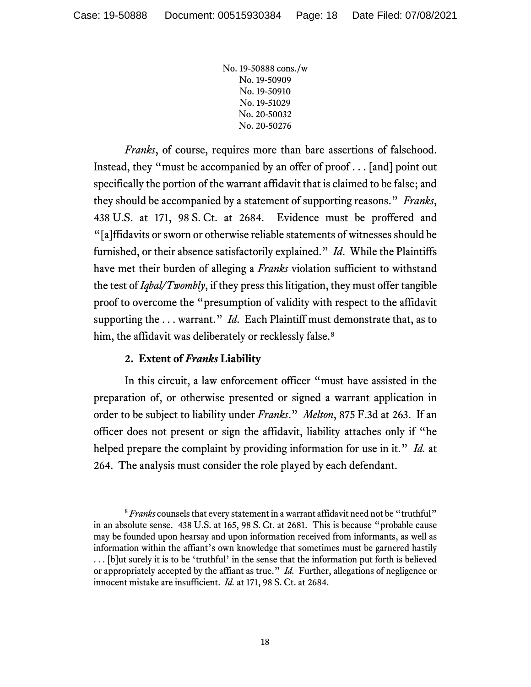*Franks*, of course, requires more than bare assertions of falsehood. Instead, they "must be accompanied by an offer of proof . . . [and] point out specifically the portion of the warrant affidavit that is claimed to be false; and they should be accompanied by a statement of supporting reasons." *Franks*, 438 U.S. at 171, 98 S. Ct. at 2684. Evidence must be proffered and "[a]ffidavits or sworn or otherwise reliable statements of witnesses should be furnished, or their absence satisfactorily explained." *Id*. While the Plaintiffs have met their burden of alleging a *Franks* violation sufficient to withstand the test of *Iqbal/Twombly*, if they press this litigation, they must offer tangible proof to overcome the "presumption of validity with respect to the affidavit supporting the . . . warrant." *Id*. Each Plaintiff must demonstrate that, as to him, the affidavit was deliberately or recklessly false.<sup>[8](#page-17-0)</sup>

# **2. Extent of** *Franks* **Liability**

In this circuit, a law enforcement officer "must have assisted in the preparation of, or otherwise presented or signed a warrant application in order to be subject to liability under *Franks*." *Melton*, 875 F.3d at 263. If an officer does not present or sign the affidavit, liability attaches only if "he helped prepare the complaint by providing information for use in it." *Id.* at 264. The analysis must consider the role played by each defendant.

<span id="page-17-0"></span><sup>&</sup>lt;sup>8</sup> Franks counsels that every statement in a warrant affidavit need not be "truthful" in an absolute sense. 438 U.S. at 165, 98 S. Ct. at 2681. This is because "probable cause may be founded upon hearsay and upon information received from informants, as well as information within the affiant's own knowledge that sometimes must be garnered hastily . . . [b]ut surely it is to be 'truthful' in the sense that the information put forth is believed or appropriately accepted by the affiant as true." *Id.* Further, allegations of negligence or innocent mistake are insufficient. *Id.* at 171, 98 S. Ct. at 2684.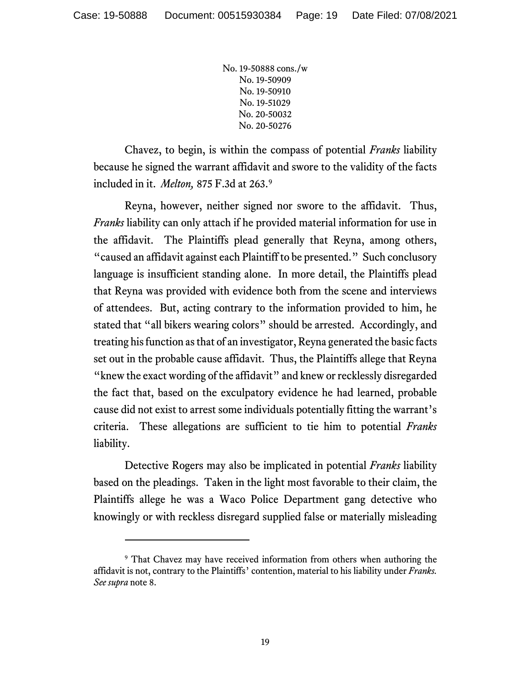Chavez, to begin, is within the compass of potential *Franks* liability because he signed the warrant affidavit and swore to the validity of the facts included in it. *Melton,* 875 F.3d at 263.[9](#page-18-0)

Reyna, however, neither signed nor swore to the affidavit. Thus, *Franks* liability can only attach if he provided material information for use in the affidavit. The Plaintiffs plead generally that Reyna, among others, "caused an affidavit against each Plaintiff to be presented." Such conclusory language is insufficient standing alone. In more detail, the Plaintiffs plead that Reyna was provided with evidence both from the scene and interviews of attendees. But, acting contrary to the information provided to him, he stated that "all bikers wearing colors" should be arrested. Accordingly, and treating his function as that of an investigator, Reyna generated the basic facts set out in the probable cause affidavit. Thus, the Plaintiffs allege that Reyna "knew the exact wording of the affidavit" and knew or recklessly disregarded the fact that, based on the exculpatory evidence he had learned, probable cause did not exist to arrest some individuals potentially fitting the warrant's criteria. These allegations are sufficient to tie him to potential *Franks*  liability.

Detective Rogers may also be implicated in potential *Franks* liability based on the pleadings. Taken in the light most favorable to their claim, the Plaintiffs allege he was a Waco Police Department gang detective who knowingly or with reckless disregard supplied false or materially misleading

<span id="page-18-0"></span><sup>&</sup>lt;sup>9</sup> That Chavez may have received information from others when authoring the affidavit is not, contrary to the Plaintiffs' contention, material to his liability under *Franks. See supra* note 8.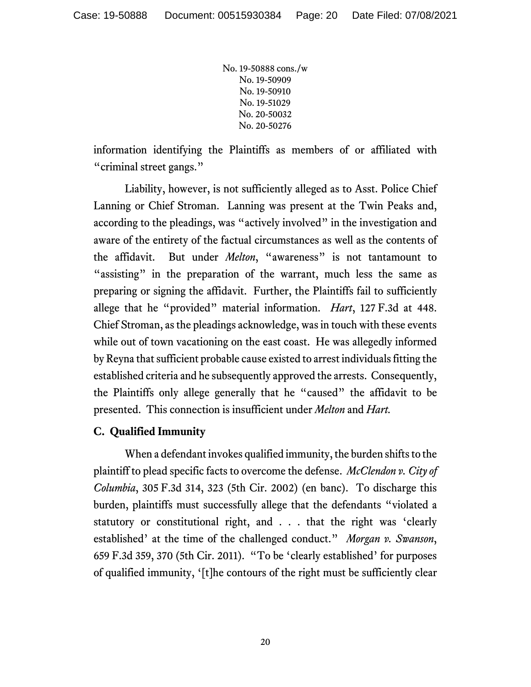information identifying the Plaintiffs as members of or affiliated with "criminal street gangs."

Liability, however, is not sufficiently alleged as to Asst. Police Chief Lanning or Chief Stroman. Lanning was present at the Twin Peaks and, according to the pleadings, was "actively involved" in the investigation and aware of the entirety of the factual circumstances as well as the contents of the affidavit. But under *Melton*, "awareness" is not tantamount to "assisting" in the preparation of the warrant, much less the same as preparing or signing the affidavit. Further, the Plaintiffs fail to sufficiently allege that he "provided" material information. *Hart*, 127 F.3d at 448. Chief Stroman, as the pleadings acknowledge, was in touch with these events while out of town vacationing on the east coast. He was allegedly informed by Reyna that sufficient probable cause existed to arrest individuals fitting the established criteria and he subsequently approved the arrests. Consequently, the Plaintiffs only allege generally that he "caused" the affidavit to be presented. This connection is insufficient under *Melton* and *Hart.*

# **C. Qualified Immunity**

When a defendant invokes qualified immunity, the burden shifts to the plaintiff to plead specific facts to overcome the defense. *McClendon v. City of Columbia*, 305 F.3d 314, 323 (5th Cir. 2002) (en banc). To discharge this burden, plaintiffs must successfully allege that the defendants "violated a statutory or constitutional right, and . . . that the right was 'clearly established' at the time of the challenged conduct." *Morgan v. Swanson*, 659 F.3d 359, 370 (5th Cir. 2011). "To be 'clearly established' for purposes of qualified immunity, '[t]he contours of the right must be sufficiently clear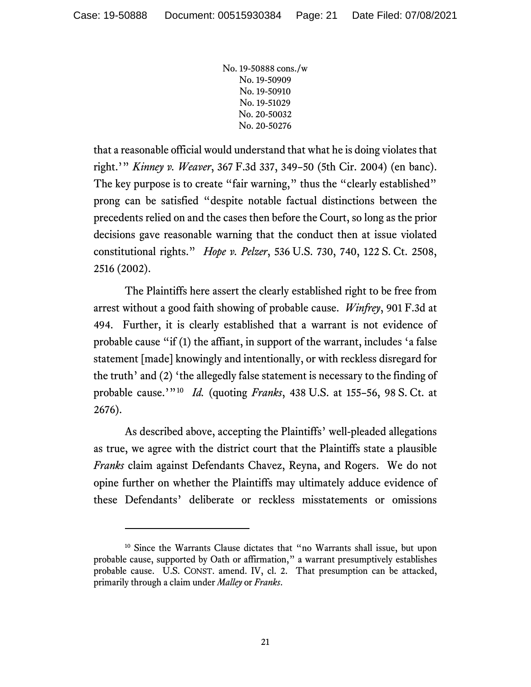that a reasonable official would understand that what he is doing violates that right.'" *Kinney v. Weaver*, 367 F.3d 337, 349–50 (5th Cir. 2004) (en banc). The key purpose is to create "fair warning," thus the "clearly established" prong can be satisfied "despite notable factual distinctions between the precedents relied on and the cases then before the Court, so long as the prior decisions gave reasonable warning that the conduct then at issue violated constitutional rights." *Hope v. Pelzer*, 536 U.S. 730, 740, 122 S. Ct. 2508, 2516 (2002).

The Plaintiffs here assert the clearly established right to be free from arrest without a good faith showing of probable cause. *Winfrey*, 901 F.3d at 494. Further, it is clearly established that a warrant is not evidence of probable cause "if (1) the affiant, in support of the warrant, includes 'a false statement [made] knowingly and intentionally, or with reckless disregard for the truth' and (2) 'the allegedly false statement is necessary to the finding of probable cause.'"[10](#page-20-0) *Id.* (quoting *Franks*, 438 U.S. at 155–56, 98 S. Ct. at 2676).

As described above, accepting the Plaintiffs' well-pleaded allegations as true, we agree with the district court that the Plaintiffs state a plausible *Franks* claim against Defendants Chavez, Reyna, and Rogers. We do not opine further on whether the Plaintiffs may ultimately adduce evidence of these Defendants' deliberate or reckless misstatements or omissions

<span id="page-20-0"></span><sup>&</sup>lt;sup>10</sup> Since the Warrants Clause dictates that "no Warrants shall issue, but upon probable cause, supported by Oath or affirmation," a warrant presumptively establishes probable cause. U.S. CONST. amend. IV, cl. 2. That presumption can be attacked, primarily through a claim under *Malley* or *Franks*.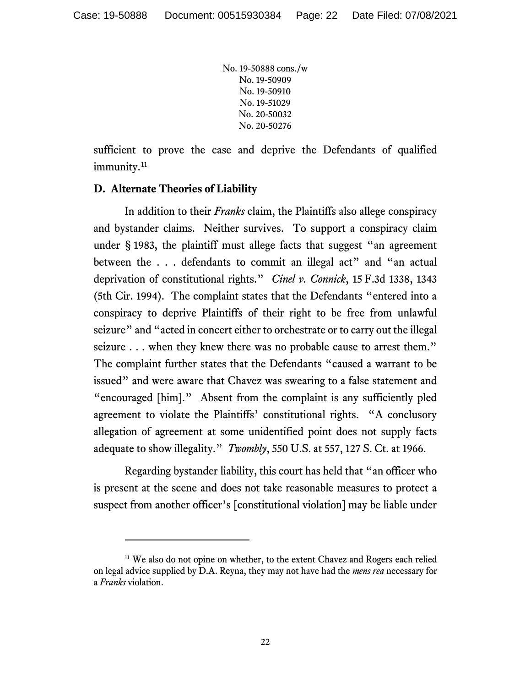sufficient to prove the case and deprive the Defendants of qualified immunity.<sup>[11](#page-21-0)</sup>

## **D. Alternate Theories of Liability**

In addition to their *Franks* claim, the Plaintiffs also allege conspiracy and bystander claims. Neither survives. To support a conspiracy claim under § 1983, the plaintiff must allege facts that suggest "an agreement between the . . . defendants to commit an illegal act" and "an actual deprivation of constitutional rights." *Cinel v. Connick*, 15 F.3d 1338, 1343 (5th Cir. 1994). The complaint states that the Defendants "entered into a conspiracy to deprive Plaintiffs of their right to be free from unlawful seizure" and "acted in concert either to orchestrate or to carry out the illegal seizure . . . when they knew there was no probable cause to arrest them." The complaint further states that the Defendants "caused a warrant to be issued" and were aware that Chavez was swearing to a false statement and "encouraged [him]." Absent from the complaint is any sufficiently pled agreement to violate the Plaintiffs' constitutional rights. "A conclusory allegation of agreement at some unidentified point does not supply facts adequate to show illegality." *Twombly*, 550 U.S. at 557, 127 S. Ct. at 1966.

Regarding bystander liability, this court has held that "an officer who is present at the scene and does not take reasonable measures to protect a suspect from another officer's [constitutional violation] may be liable under

<span id="page-21-0"></span><sup>&</sup>lt;sup>11</sup> We also do not opine on whether, to the extent Chavez and Rogers each relied on legal advice supplied by D.A. Reyna, they may not have had the *mens rea* necessary for a *Franks* violation.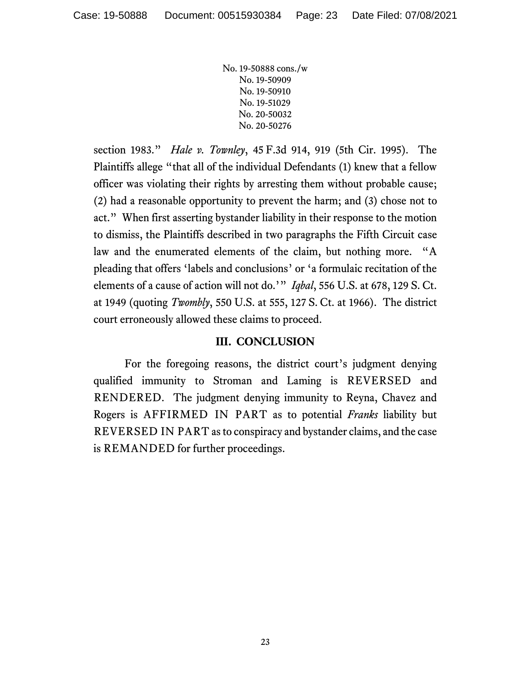section 1983." *Hale v. Townley*, 45 F.3d 914, 919 (5th Cir. 1995). The Plaintiffs allege "that all of the individual Defendants (1) knew that a fellow officer was violating their rights by arresting them without probable cause; (2) had a reasonable opportunity to prevent the harm; and (3) chose not to act." When first asserting bystander liability in their response to the motion to dismiss, the Plaintiffs described in two paragraphs the Fifth Circuit case law and the enumerated elements of the claim, but nothing more. "A pleading that offers 'labels and conclusions' or 'a formulaic recitation of the elements of a cause of action will not do.'" *Iqbal*, 556 U.S. at 678, 129 S. Ct. at 1949 (quoting *Twombly*, 550 U.S. at 555, 127 S. Ct. at 1966). The district court erroneously allowed these claims to proceed.

## **III. CONCLUSION**

For the foregoing reasons, the district court's judgment denying qualified immunity to Stroman and Laming is REVERSED and RENDERED. The judgment denying immunity to Reyna, Chavez and Rogers is AFFIRMED IN PART as to potential *Franks* liability but REVERSED IN PART as to conspiracy and bystander claims, and the case is REMANDED for further proceedings.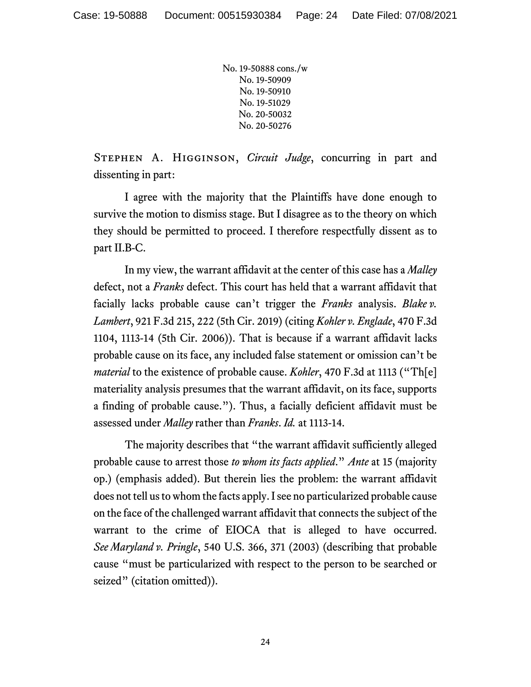Stephen A. Higginson, *Circuit Judge*, concurring in part and dissenting in part:

I agree with the majority that the Plaintiffs have done enough to survive the motion to dismiss stage. But I disagree as to the theory on which they should be permitted to proceed. I therefore respectfully dissent as to part II.B-C.

In my view, the warrant affidavit at the center of this case has a *Malley*  defect, not a *Franks* defect. This court has held that a warrant affidavit that facially lacks probable cause can't trigger the *Franks* analysis. *Blake v. Lambert*, 921 F.3d 215, 222 (5th Cir. 2019) (citing *Kohler v. Englade*, 470 F.3d 1104, 1113-14 (5th Cir. 2006)). That is because if a warrant affidavit lacks probable cause on its face, any included false statement or omission can't be *material* to the existence of probable cause. *Kohler*, 470 F.3d at 1113 ("Th[e] materiality analysis presumes that the warrant affidavit, on its face, supports a finding of probable cause."). Thus, a facially deficient affidavit must be assessed under *Malley* rather than *Franks*. *Id.* at 1113-14.

The majority describes that "the warrant affidavit sufficiently alleged probable cause to arrest those *to whom its facts applied*." *Ante* at 15 (majority op.) (emphasis added). But therein lies the problem: the warrant affidavit does not tell us to whom the facts apply. I see no particularized probable cause on the face of the challenged warrant affidavit that connects the subject of the warrant to the crime of EIOCA that is alleged to have occurred. *See Maryland v. Pringle*, 540 U.S. 366, 371 (2003) (describing that probable cause "must be particularized with respect to the person to be searched or seized" (citation omitted)).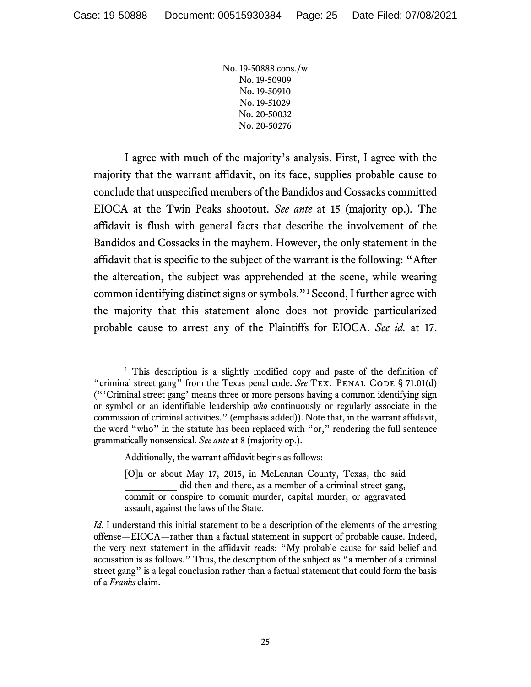I agree with much of the majority's analysis. First, I agree with the majority that the warrant affidavit, on its face, supplies probable cause to conclude that unspecified members of the Bandidos and Cossacks committed EIOCA at the Twin Peaks shootout. *See ante* at 15 (majority op.)*.* The affidavit is flush with general facts that describe the involvement of the Bandidos and Cossacks in the mayhem. However, the only statement in the affidavit that is specific to the subject of the warrant is the following: "After the altercation, the subject was apprehended at the scene, while wearing common identifying distinct signs or symbols."[1](#page-24-0) Second, I further agree with the majority that this statement alone does not provide particularized probable cause to arrest any of the Plaintiffs for EIOCA. *See id.* at 17.

Additionally, the warrant affidavit begins as follows:

<span id="page-24-0"></span><sup>&</sup>lt;sup>1</sup> This description is a slightly modified copy and paste of the definition of "criminal street gang" from the Texas penal code. *See* TEX. PENAL CODE § 71.01(d) ("'Criminal street gang' means three or more persons having a common identifying sign or symbol or an identifiable leadership *who* continuously or regularly associate in the commission of criminal activities." (emphasis added)). Note that, in the warrant affidavit, the word "who" in the statute has been replaced with "or," rendering the full sentence grammatically nonsensical. *See ante* at 8 (majority op.).

<sup>[</sup>O]n or about May 17, 2015, in McLennan County, Texas, the said did then and there, as a member of a criminal street gang, commit or conspire to commit murder, capital murder, or aggravated assault, against the laws of the State.

*Id*. I understand this initial statement to be a description of the elements of the arresting offense—EIOCA—rather than a factual statement in support of probable cause. Indeed, the very next statement in the affidavit reads: "My probable cause for said belief and accusation is as follows." Thus, the description of the subject as "a member of a criminal street gang" is a legal conclusion rather than a factual statement that could form the basis of a *Franks* claim.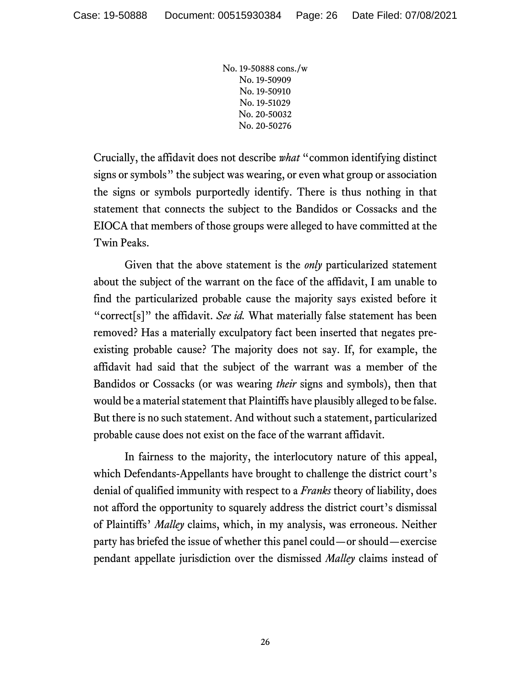Crucially, the affidavit does not describe *what* "common identifying distinct signs or symbols" the subject was wearing, or even what group or association the signs or symbols purportedly identify. There is thus nothing in that statement that connects the subject to the Bandidos or Cossacks and the EIOCA that members of those groups were alleged to have committed at the Twin Peaks.

Given that the above statement is the *only* particularized statement about the subject of the warrant on the face of the affidavit, I am unable to find the particularized probable cause the majority says existed before it "correct[s]" the affidavit. *See id.* What materially false statement has been removed? Has a materially exculpatory fact been inserted that negates preexisting probable cause? The majority does not say. If, for example, the affidavit had said that the subject of the warrant was a member of the Bandidos or Cossacks (or was wearing *their* signs and symbols), then that would be a material statement that Plaintiffs have plausibly alleged to be false. But there is no such statement. And without such a statement, particularized probable cause does not exist on the face of the warrant affidavit.

In fairness to the majority, the interlocutory nature of this appeal, which Defendants-Appellants have brought to challenge the district court's denial of qualified immunity with respect to a *Franks* theory of liability, does not afford the opportunity to squarely address the district court's dismissal of Plaintiffs' *Malley* claims, which, in my analysis, was erroneous. Neither party has briefed the issue of whether this panel could—or should—exercise pendant appellate jurisdiction over the dismissed *Malley* claims instead of

26